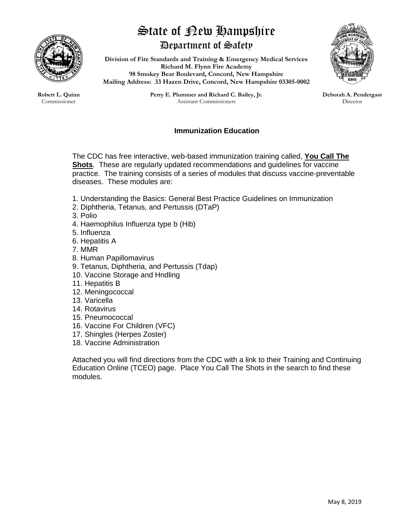

## State of New Hampshire Department of Safety

**Division of Fire Standards and Training & Emergency Medical Services Richard M. Flynn Fire Academy 98 Smokey Bear Boulevard, Concord, New Hampshire**

**Mailing Address: 33 Hazen Drive, Concord, New Hampshire 03305-0002**



**Robert L. Quinn** Commissioner

**Perry E. Plummer and Richard C. Bailey, Jr.** Assistant Commissioners

## **Deborah A. Pendergast** Director

## **Immunization Education**

The CDC has free interactive, web-based immunization training called, **You Call The Shots**. These are regularly updated recommendations and guidelines for vaccine practice. The training consists of a series of modules that discuss vaccine-preventable diseases. These modules are:

- 1. Understanding the Basics: General Best Practice Guidelines on Immunization
- 2. Diphtheria, Tetanus, and Pertussis (DTaP)
- 3. Polio
- 4. Haemophilus Influenza type b (Hib)
- 5. Influenza
- 6. Hepatitis A
- 7. MMR
- 8. Human Papillomavirus
- 9. Tetanus, Diphtheria, and Pertussis (Tdap)
- 10. Vaccine Storage and Hndling
- 11. Hepatitis B
- 12. Meningococcal
- 13. Varicella
- 14. Rotavirus
- 15. Pneumococcal
- 16. Vaccine For Children (VFC)
- 17. Shingles (Herpes Zoster)
- 18. Vaccine Administration

Attached you will find directions from the CDC with a link to their Training and Continuing Education Online (TCEO) page. Place You Call The Shots in the search to find these modules.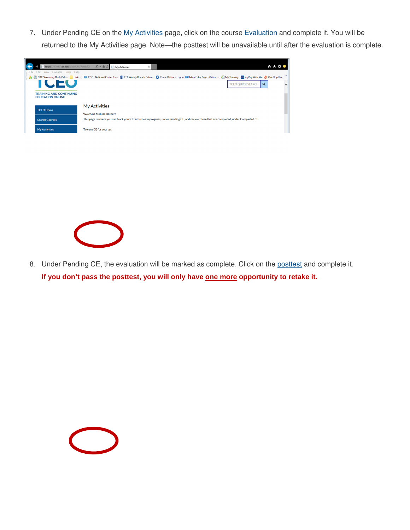7. Under Pending CE on the My Activities page, click on the course Evaluation and complete it. You will be returned to the My Activities page. Note—the posttest will be unavailable until after the evaluation is complete.



8. Under Pending CE, the evaluation will be marked as complete. Click on the posttest and complete it. If you don't pass the posttest, you will only have one more opportunity to retake it.